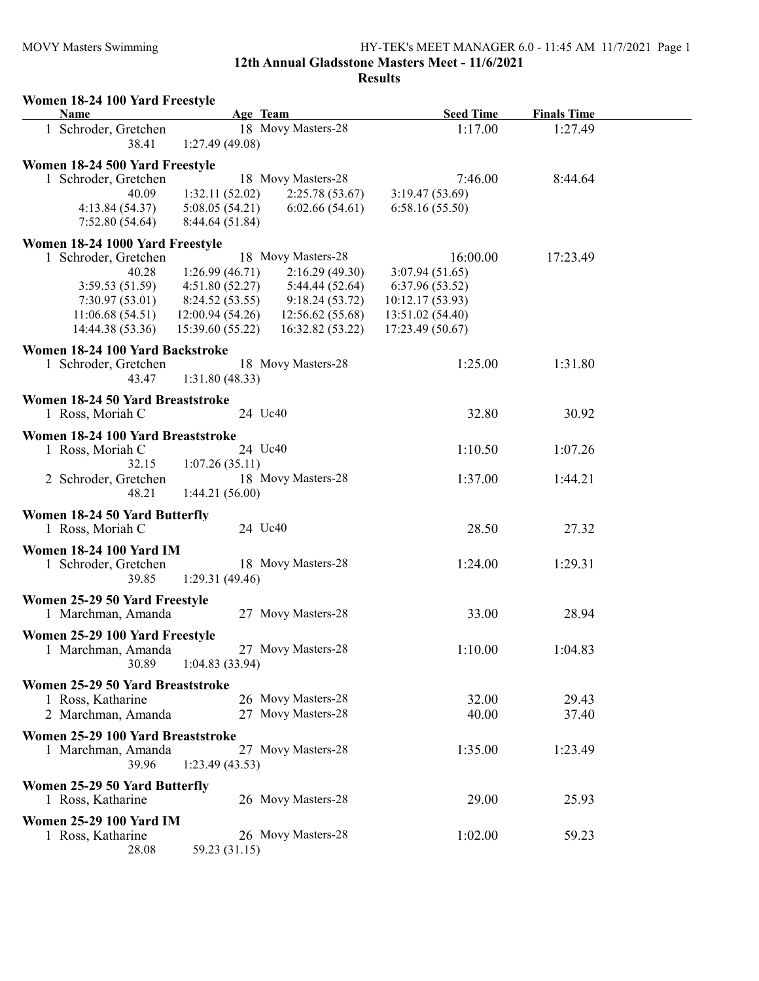## MOVY Masters Swimming HY-TEK's MEET MANAGER 6.0 - 11:45 AM 11/7/2021 Page 1

12th Annual Gladsstone Masters Meet - 11/6/2021

| Women 18-24 100 Yard Freestyle<br>Name | Age Team                             | <b>Seed Time</b> | <b>Finals Time</b> |
|----------------------------------------|--------------------------------------|------------------|--------------------|
| 1 Schroder, Gretchen<br>38.41          | 18 Movy Masters-28<br>1:27.49(49.08) | 1:17.00          | 1:27.49            |
| Women 18-24 500 Yard Freestyle         |                                      |                  |                    |
| 1 Schroder, Gretchen                   | 18 Movy Masters-28                   | 7:46.00          | 8:44.64            |
| 40.09                                  | 1:32.11(52.02)<br>2:25.78(53.67)     | 3:19.47(53.69)   |                    |
| 4:13.84(54.37)                         | 6:02.66(54.61)<br>5:08.05(54.21)     | 6:58.16(55.50)   |                    |
| 7:52.80(54.64)                         | 8:44.64 (51.84)                      |                  |                    |
| Women 18-24 1000 Yard Freestyle        |                                      |                  |                    |
| 1 Schroder, Gretchen                   | 18 Movy Masters-28                   | 16:00.00         | 17:23.49           |
| 40.28                                  | 1:26.99(46.71)<br>2:16.29(49.30)     | 3:07.94(51.65)   |                    |
| 3:59.53(51.59)                         | 4:51.80(52.27)<br>5:44.44 (52.64)    | 6:37.96 (53.52)  |                    |
| 7:30.97(53.01)                         | 9:18.24(53.72)<br>8:24.52 (53.55)    | 10:12.17 (53.93) |                    |
|                                        |                                      |                  |                    |
| 11:06.68(54.51)                        | 12:00.94 (54.26)<br>12:56.62(55.68)  | 13:51.02 (54.40) |                    |
| 14:44.38 (53.36)                       | 15:39.60(55.22)<br>16:32.82 (53.22)  | 17:23.49 (50.67) |                    |
| Women 18-24 100 Yard Backstroke        |                                      |                  |                    |
| 1 Schroder, Gretchen                   | 18 Movy Masters-28                   | 1:25.00          | 1:31.80            |
| 43.47                                  | 1:31.80(48.33)                       |                  |                    |
| Women 18-24 50 Yard Breaststroke       |                                      |                  |                    |
| 1 Ross, Moriah C                       | 24 Uc40                              | 32.80            | 30.92              |
| Women 18-24 100 Yard Breaststroke      |                                      |                  |                    |
| 1 Ross, Moriah C                       | 24 Uc40                              | 1:10.50          | 1:07.26            |
| 32.15                                  | 1:07.26(35.11)                       |                  |                    |
|                                        | 18 Movy Masters-28                   |                  |                    |
| 2 Schroder, Gretchen<br>48.21          | 1:44.21(56.00)                       | 1:37.00          | 1:44.21            |
|                                        |                                      |                  |                    |
| Women 18-24 50 Yard Butterfly          |                                      |                  |                    |
| 1 Ross, Moriah C                       | 24 Uc40                              | 28.50            | 27.32              |
| <b>Women 18-24 100 Yard IM</b>         |                                      |                  |                    |
| 1 Schroder, Gretchen                   | 18 Movy Masters-28                   | 1:24.00          | 1:29.31            |
| 39.85                                  | 1:29.31(49.46)                       |                  |                    |
| Women 25-29 50 Yard Freestyle          |                                      |                  |                    |
| 1 Marchman, Amanda                     | 27 Movy Masters-28                   | 33.00            | 28.94              |
| Women 25-29 100 Yard Freestyle         |                                      |                  |                    |
| 1 Marchman, Amanda                     | 27 Movy Masters-28                   | 1:10.00          | 1:04.83            |
| 30.89                                  | 1:04.83(33.94)                       |                  |                    |
|                                        |                                      |                  |                    |
| Women 25-29 50 Yard Breaststroke       |                                      |                  |                    |
| 1 Ross, Katharine                      | 26 Movy Masters-28                   | 32.00            | 29.43              |
| 2 Marchman, Amanda                     | 27 Movy Masters-28                   | 40.00            | 37.40              |
| Women 25-29 100 Yard Breaststroke      |                                      |                  |                    |
| 1 Marchman, Amanda                     | 27 Movy Masters-28                   | 1:35.00          | 1:23.49            |
| 39.96                                  | 1:23.49(43.53)                       |                  |                    |
| Women 25-29 50 Yard Butterfly          |                                      |                  |                    |
|                                        | 26 Movy Masters-28                   | 29.00            |                    |
| 1 Ross, Katharine                      |                                      |                  | 25.93              |
| <b>Women 25-29 100 Yard IM</b>         |                                      |                  |                    |
| 1 Ross, Katharine                      | 26 Movy Masters-28                   | 1:02.00          | 59.23              |
| 28.08                                  | 59.23 (31.15)                        |                  |                    |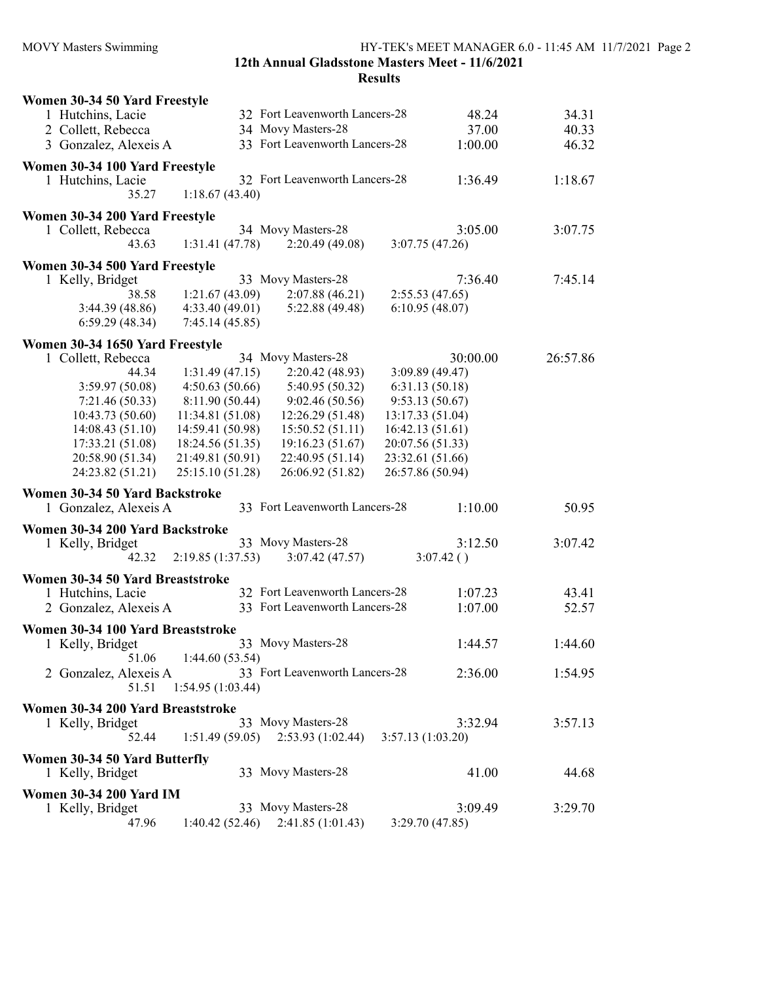#### 12th Annual Gladsstone Masters Meet - 11/6/2021 Results

| Women 30-34 50 Yard Freestyle     |                                      |                  |          |
|-----------------------------------|--------------------------------------|------------------|----------|
| 1 Hutchins, Lacie                 | 32 Fort Leavenworth Lancers-28       | 48.24            | 34.31    |
| 2 Collett, Rebecca                | 34 Movy Masters-28                   | 37.00            | 40.33    |
| 3 Gonzalez, Alexeis A             | 33 Fort Leavenworth Lancers-28       | 1:00.00          | 46.32    |
| Women 30-34 100 Yard Freestyle    |                                      |                  |          |
| 1 Hutchins, Lacie                 | 32 Fort Leavenworth Lancers-28       | 1:36.49          | 1:18.67  |
| 35.27                             | 1:18.67(43.40)                       |                  |          |
|                                   |                                      |                  |          |
| Women 30-34 200 Yard Freestyle    |                                      |                  |          |
| 1 Collett, Rebecca                | 34 Movy Masters-28                   | 3:05.00          | 3:07.75  |
| 43.63                             | 2:20.49(49.08)<br>1:31.41(47.78)     | 3:07.75(47.26)   |          |
| Women 30-34 500 Yard Freestyle    |                                      |                  |          |
| 1 Kelly, Bridget                  | 33 Movy Masters-28                   | 7:36.40          | 7:45.14  |
| 38.58                             | 1:21.67(43.09)<br>2:07.88(46.21)     | 2:55.53(47.65)   |          |
| 3:44.39(48.86)                    | 4:33.40(49.01)<br>5:22.88 (49.48)    | 6:10.95(48.07)   |          |
| 6:59.29(48.34)                    | 7:45.14(45.85)                       |                  |          |
| Women 30-34 1650 Yard Freestyle   |                                      |                  |          |
| 1 Collett, Rebecca                | 34 Movy Masters-28                   | 30:00.00         | 26:57.86 |
| 44.34                             | 2:20.42(48.93)<br>1:31.49(47.15)     | 3:09.89 (49.47)  |          |
| 3:59.97(50.08)                    | 4:50.63(50.66)<br>5:40.95 (50.32)    | 6:31.13(50.18)   |          |
| 7:21.46 (50.33)                   | 8:11.90 (50.44)<br>9:02.46(50.56)    | 9:53.13(50.67)   |          |
| 10:43.73 (50.60)                  | 11:34.81 (51.08)<br>12:26.29 (51.48) | 13:17.33 (51.04) |          |
| 14:08.43 (51.10)                  | 14:59.41 (50.98)<br>15:50.52(51.11)  | 16:42.13 (51.61) |          |
| 17:33.21 (51.08)                  | 18:24.56 (51.35)<br>19:16.23 (51.67) | 20:07.56 (51.33) |          |
| 20:58.90 (51.34)                  | 22:40.95 (51.14)<br>21:49.81 (50.91) | 23:32.61 (51.66) |          |
| 24:23.82 (51.21)                  | 26:06.92 (51.82)<br>25:15.10 (51.28) | 26:57.86 (50.94) |          |
| Women 30-34 50 Yard Backstroke    |                                      |                  |          |
| 1 Gonzalez, Alexeis A             | 33 Fort Leavenworth Lancers-28       | 1:10.00          | 50.95    |
|                                   |                                      |                  |          |
| Women 30-34 200 Yard Backstroke   |                                      |                  |          |
| 1 Kelly, Bridget                  | 33 Movy Masters-28                   | 3:12.50          | 3:07.42  |
| 42.32                             | 2:19.85(1:37.53)<br>3:07.42(47.57)   | 3:07.42()        |          |
| Women 30-34 50 Yard Breaststroke  |                                      |                  |          |
| 1 Hutchins, Lacie                 | 32 Fort Leavenworth Lancers-28       | 1:07.23          | 43.41    |
| 2 Gonzalez, Alexeis A             | 33 Fort Leavenworth Lancers-28       | 1:07.00          | 52.57    |
| Women 30-34 100 Yard Breaststroke |                                      |                  |          |
| 1 Kelly, Bridget                  | 33 Movy Masters-28                   | 1:44.57          | 1:44.60  |
| 51.06                             | 1:44.60(53.54)                       |                  |          |
| 2 Gonzalez, Alexeis A             | 33 Fort Leavenworth Lancers-28       | 2:36.00          | 1:54.95  |
| 51.51                             | 1:54.95(1:03.44)                     |                  |          |
|                                   |                                      |                  |          |
| Women 30-34 200 Yard Breaststroke |                                      |                  |          |
| 1 Kelly, Bridget                  | 33 Movy Masters-28                   | 3:32.94          | 3:57.13  |
| 52.44                             | 2:53.93(1:02.44)<br>1:51.49(59.05)   | 3:57.13(1:03.20) |          |
| Women 30-34 50 Yard Butterfly     |                                      |                  |          |
| 1 Kelly, Bridget                  | 33 Movy Masters-28                   | 41.00            | 44.68    |
| <b>Women 30-34 200 Yard IM</b>    |                                      |                  |          |
| 1 Kelly, Bridget                  | 33 Movy Masters-28                   | 3:09.49          | 3:29.70  |
| 47.96                             | 1:40.42(52.46)<br>2:41.85(1:01.43)   | 3:29.70 (47.85)  |          |
|                                   |                                      |                  |          |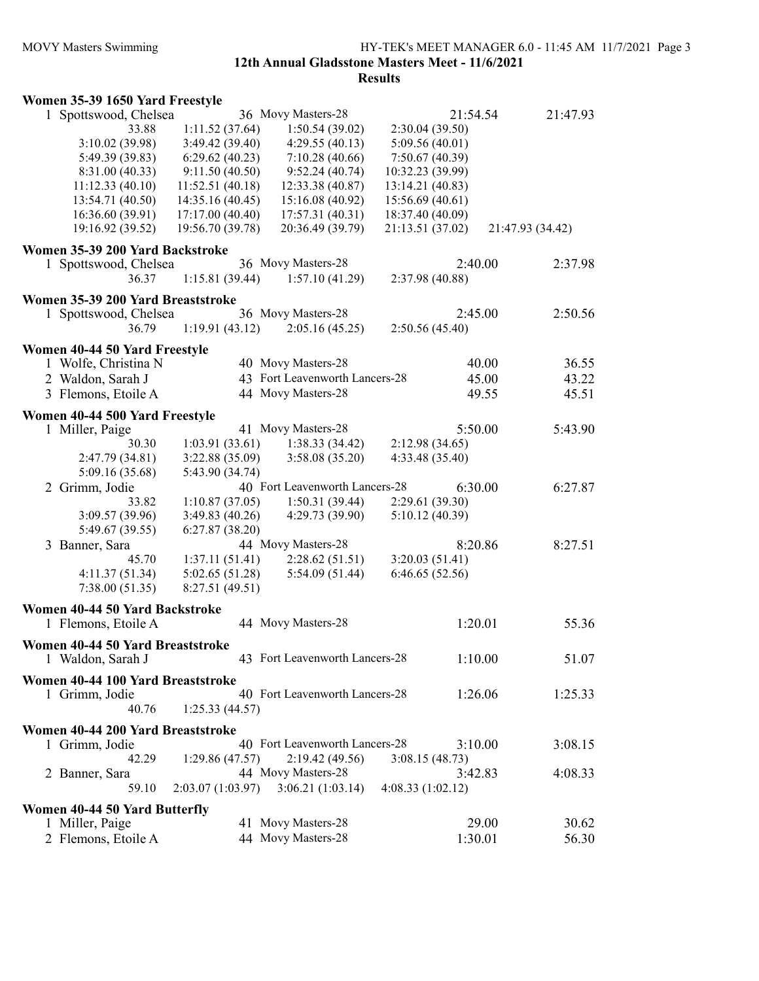#### MOVY Masters Swimming HY-TEK's MEET MANAGER 6.0 - 11:45 AM 11/7/2021 Page 3 12th Annual Gladsstone Masters Meet - 11/6/2021

|  |  |  |  | Women 35-39 1650 Yard Freestyle |
|--|--|--|--|---------------------------------|
|--|--|--|--|---------------------------------|

| 1 Spottswood, Chelsea                                 |                  | 36 Movy Masters-28             | 21:54.54         |                  | 21:47.93 |
|-------------------------------------------------------|------------------|--------------------------------|------------------|------------------|----------|
| 33.88                                                 | 1:11.52(37.64)   | 1:50.54(39.02)                 | 2:30.04 (39.50)  |                  |          |
| 3:10.02(39.98)                                        | 3:49.42 (39.40)  | 4:29.55(40.13)                 | 5:09.56 (40.01)  |                  |          |
| 5:49.39 (39.83)                                       | 6:29.62(40.23)   | 7:10.28(40.66)                 | 7:50.67(40.39)   |                  |          |
| 8:31.00 (40.33)                                       | 9:11.50(40.50)   | 9:52.24(40.74)                 | 10:32.23 (39.99) |                  |          |
| 11:12.33(40.10)                                       | 11:52.51(40.18)  | 12:33.38 (40.87)               | 13:14.21 (40.83) |                  |          |
| 13:54.71 (40.50)                                      | 14:35.16 (40.45) | 15:16.08 (40.92)               | 15:56.69 (40.61) |                  |          |
| 16:36.60 (39.91)                                      | 17:17.00 (40.40) | 17:57.31(40.31)                | 18:37.40 (40.09) |                  |          |
| 19:16.92 (39.52)                                      | 19:56.70 (39.78) | 20:36.49 (39.79)               | 21:13.51 (37.02) | 21:47.93 (34.42) |          |
|                                                       |                  |                                |                  |                  |          |
| Women 35-39 200 Yard Backstroke                       |                  | 36 Movy Masters-28             | 2:40.00          |                  | 2:37.98  |
| 1 Spottswood, Chelsea                                 |                  | 1:57.10(41.29)                 |                  |                  |          |
| 36.37                                                 | 1:15.81(39.44)   |                                | 2:37.98 (40.88)  |                  |          |
| Women 35-39 200 Yard Breaststroke                     |                  |                                |                  |                  |          |
| 1 Spottswood, Chelsea                                 |                  | 36 Movy Masters-28             | 2:45.00          |                  | 2:50.56  |
| 36.79                                                 | 1:19.91(43.12)   | 2:05.16(45.25)                 | 2:50.56(45.40)   |                  |          |
| Women 40-44 50 Yard Freestyle                         |                  |                                |                  |                  |          |
| 1 Wolfe, Christina N                                  |                  | 40 Movy Masters-28             |                  | 40.00            | 36.55    |
| 2 Waldon, Sarah J                                     |                  | 43 Fort Leavenworth Lancers-28 |                  | 45.00            | 43.22    |
| 3 Flemons, Etoile A                                   |                  | 44 Movy Masters-28             |                  | 49.55            | 45.51    |
|                                                       |                  |                                |                  |                  |          |
| Women 40-44 500 Yard Freestyle                        |                  |                                |                  |                  |          |
| 1 Miller, Paige                                       |                  | 41 Movy Masters-28             | 5:50.00          |                  | 5:43.90  |
| 30.30                                                 | 1:03.91(33.61)   | 1:38.33(34.42)                 | 2:12.98(34.65)   |                  |          |
| 2:47.79 (34.81)                                       | 3:22.88(35.09)   | 3:58.08 (35.20)                | 4:33.48 (35.40)  |                  |          |
| 5:09.16 (35.68)                                       | 5:43.90 (34.74)  |                                |                  |                  |          |
| 2 Grimm, Jodie                                        |                  | 40 Fort Leavenworth Lancers-28 | 6:30.00          |                  | 6:27.87  |
| 33.82                                                 | 1:10.87(37.05)   | 1:50.31(39.44)                 | 2:29.61 (39.30)  |                  |          |
| 3:09.57 (39.96)                                       | 3:49.83(40.26)   | 4:29.73(39.90)                 | 5:10.12(40.39)   |                  |          |
| 5:49.67 (39.55)                                       | 6:27.87(38.20)   |                                |                  |                  |          |
| 3 Banner, Sara                                        |                  | 44 Movy Masters-28             | 8:20.86          |                  | 8:27.51  |
| 45.70                                                 | 1:37.11(51.41)   | 2:28.62(51.51)                 | 3:20.03(51.41)   |                  |          |
| 4:11.37(51.34)                                        | 5:02.65(51.28)   | 5:54.09(51.44)                 | 6:46.65(52.56)   |                  |          |
| 7:38.00(51.35)                                        | 8:27.51 (49.51)  |                                |                  |                  |          |
|                                                       |                  |                                |                  |                  |          |
| Women 40-44 50 Yard Backstroke<br>1 Flemons, Etoile A |                  | 44 Movy Masters-28             | 1:20.01          |                  | 55.36    |
|                                                       |                  |                                |                  |                  |          |
| Women 40-44 50 Yard Breaststroke                      |                  |                                |                  |                  |          |
| 1 Waldon, Sarah J                                     |                  | 43 Fort Leavenworth Lancers-28 | 1:10.00          |                  | 51.07    |
| Women 40-44 100 Yard Breaststroke                     |                  |                                |                  |                  |          |
| 1 Grimm, Jodie                                        |                  | 40 Fort Leavenworth Lancers-28 | 1:26.06          |                  | 1:25.33  |
| 40.76                                                 | 1:25.33(44.57)   |                                |                  |                  |          |
|                                                       |                  |                                |                  |                  |          |
| Women 40-44 200 Yard Breaststroke                     |                  | 40 Fort Leavenworth Lancers-28 |                  |                  |          |
| 1 Grimm, Jodie                                        |                  |                                | 3:10.00          |                  | 3:08.15  |
| 42.29                                                 | 1:29.86(47.57)   | 2:19.42(49.56)                 | 3:08.15(48.73)   |                  |          |
| 2 Banner, Sara                                        |                  | 44 Movy Masters-28             | 3:42.83          |                  | 4:08.33  |
| 59.10                                                 | 2:03.07(1:03.97) | 3:06.21(1:03.14)               | 4:08.33(1:02.12) |                  |          |
| Women 40-44 50 Yard Butterfly                         |                  |                                |                  |                  |          |
| 1 Miller, Paige                                       |                  | 41 Movy Masters-28             |                  | 29.00            | 30.62    |
| 2 Flemons, Etoile A                                   |                  | 44 Movy Masters-28             | 1:30.01          |                  | 56.30    |
|                                                       |                  |                                |                  |                  |          |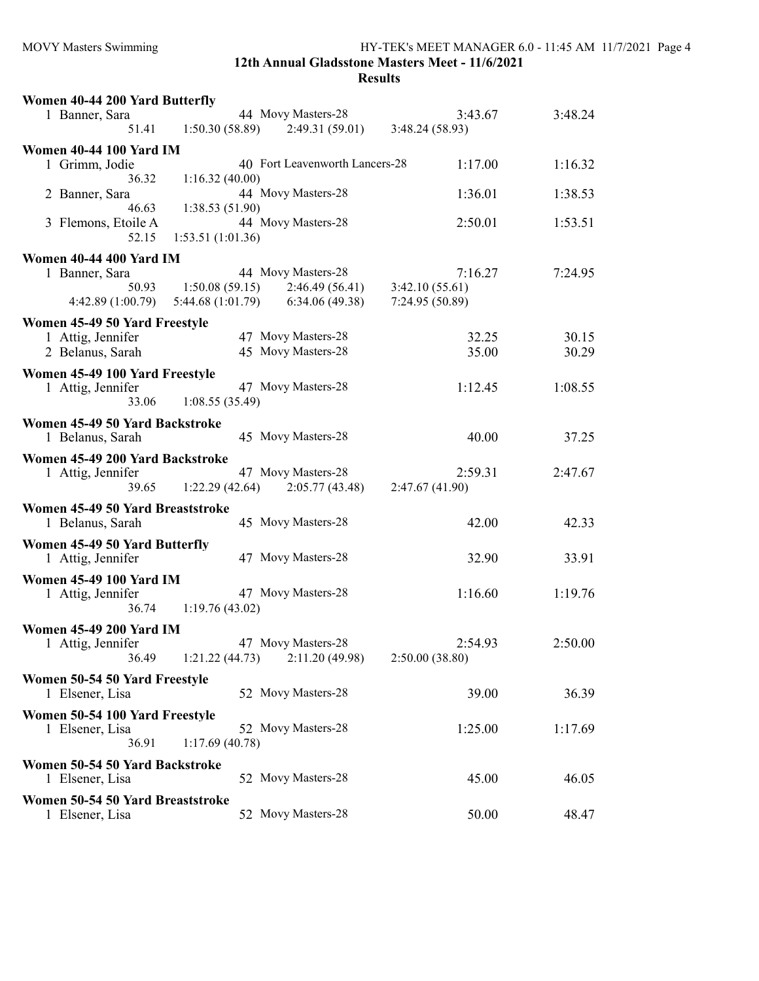| Women 40-44 200 Yard Butterfly   |                  |                                     |                 |         |
|----------------------------------|------------------|-------------------------------------|-----------------|---------|
| 1 Banner, Sara                   |                  | 44 Movy Masters-28                  | 3:43.67         | 3:48.24 |
| 51.41                            | 1:50.30(58.89)   | 2:49.31(59.01)                      | 3:48.24(58.93)  |         |
|                                  |                  |                                     |                 |         |
| <b>Women 40-44 100 Yard IM</b>   |                  | 40 Fort Leavenworth Lancers-28      | 1:17.00         | 1:16.32 |
| 1 Grimm, Jodie<br>36.32          | 1:16.32(40.00)   |                                     |                 |         |
|                                  |                  | 44 Movy Masters-28                  | 1:36.01         | 1:38.53 |
| 2 Banner, Sara<br>46.63          | 1:38.53(51.90)   |                                     |                 |         |
| 3 Flemons, Etoile A              |                  | 44 Movy Masters-28                  | 2:50.01         | 1:53.51 |
| 52.15                            | 1:53.51(1:01.36) |                                     |                 |         |
|                                  |                  |                                     |                 |         |
| <b>Women 40-44 400 Yard IM</b>   |                  |                                     |                 |         |
| 1 Banner, Sara                   |                  | 44 Movy Masters-28                  | 7:16.27         | 7:24.95 |
| 50.93                            |                  | $1:50.08(59.15)$ $2:46.49(56.41)$   | 3:42.10(55.61)  |         |
| 4:42.89(1:00.79)                 |                  | $5:44.68(1:01.79)$ $6:34.06(49.38)$ | 7:24.95 (50.89) |         |
| Women 45-49 50 Yard Freestyle    |                  |                                     |                 |         |
| 1 Attig, Jennifer                |                  | 47 Movy Masters-28                  | 32.25           | 30.15   |
| 2 Belanus, Sarah                 |                  | 45 Movy Masters-28                  | 35.00           | 30.29   |
|                                  |                  |                                     |                 |         |
| Women 45-49 100 Yard Freestyle   |                  |                                     |                 |         |
| 1 Attig, Jennifer                |                  | 47 Movy Masters-28                  | 1:12.45         | 1:08.55 |
| 33.06                            | 1:08.55(35.49)   |                                     |                 |         |
| Women 45-49 50 Yard Backstroke   |                  |                                     |                 |         |
| 1 Belanus, Sarah                 |                  | 45 Movy Masters-28                  | 40.00           | 37.25   |
| Women 45-49 200 Yard Backstroke  |                  |                                     |                 |         |
| 1 Attig, Jennifer                |                  | 47 Movy Masters-28                  | 2:59.31         | 2:47.67 |
| 39.65                            | 1:22.29(42.64)   | 2:05.77(43.48)                      | 2:47.67(41.90)  |         |
|                                  |                  |                                     |                 |         |
| Women 45-49 50 Yard Breaststroke |                  |                                     |                 |         |
| 1 Belanus, Sarah                 |                  | 45 Movy Masters-28                  | 42.00           | 42.33   |
| Women 45-49 50 Yard Butterfly    |                  |                                     |                 |         |
| 1 Attig, Jennifer                |                  | 47 Movy Masters-28                  | 32.90           | 33.91   |
|                                  |                  |                                     |                 |         |
| <b>Women 45-49 100 Yard IM</b>   |                  |                                     |                 |         |
| 1 Attig, Jennifer                |                  | 47 Movy Masters-28                  | 1:16.60         | 1:19.76 |
| 36.74                            | 1:19.76(43.02)   |                                     |                 |         |
| <b>Women 45-49 200 Yard IM</b>   |                  |                                     |                 |         |
| 1 Attig, Jennifer                |                  | 47 Movy Masters-28                  | 2:54.93         | 2:50.00 |
| 36.49                            | 1:21.22(44.73)   | 2:11.20 (49.98)                     | 2:50.00(38.80)  |         |
| Women 50-54 50 Yard Freestyle    |                  |                                     |                 |         |
| 1 Elsener, Lisa                  |                  | 52 Movy Masters-28                  | 39.00           | 36.39   |
|                                  |                  |                                     |                 |         |
| Women 50-54 100 Yard Freestyle   |                  |                                     |                 |         |
| 1 Elsener, Lisa                  |                  | 52 Movy Masters-28                  | 1:25.00         | 1:17.69 |
| 36.91                            | 1:17.69(40.78)   |                                     |                 |         |
| Women 50-54 50 Yard Backstroke   |                  |                                     |                 |         |
| 1 Elsener, Lisa                  |                  | 52 Movy Masters-28                  | 45.00           | 46.05   |
|                                  |                  |                                     |                 |         |
| Women 50-54 50 Yard Breaststroke |                  | 52 Movy Masters-28                  | 50.00           |         |
| 1 Elsener, Lisa                  |                  |                                     |                 | 48.47   |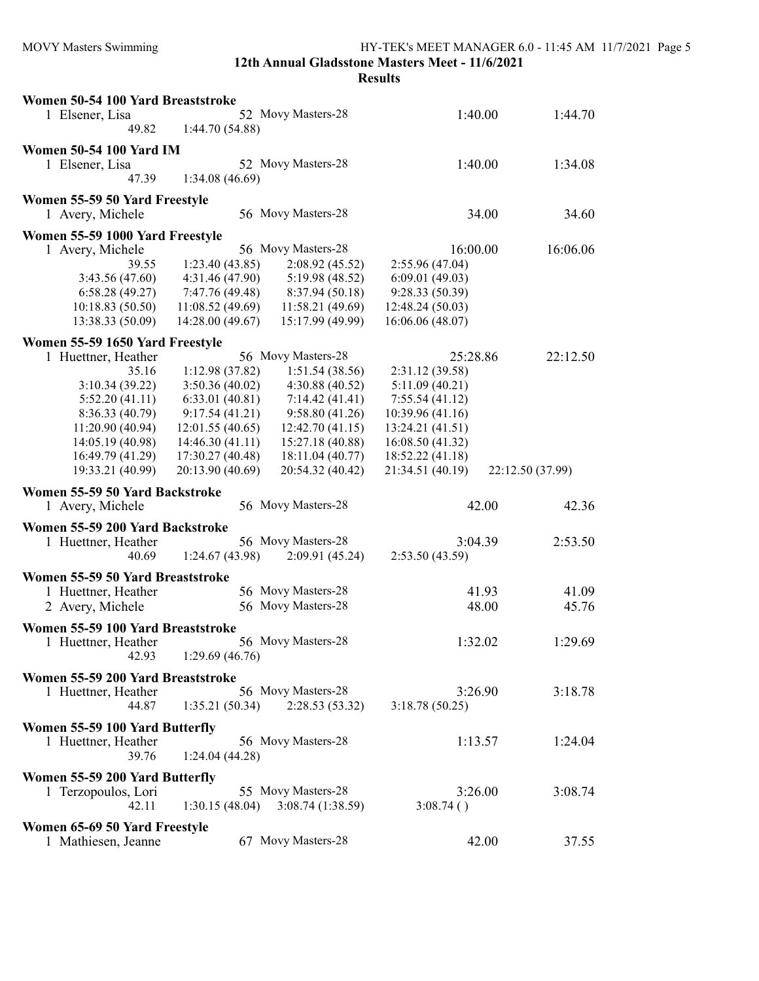| Results |  |
|---------|--|
|---------|--|

| Women 50-54 100 Yard Breaststroke |                  |                    |                  |         |                  |
|-----------------------------------|------------------|--------------------|------------------|---------|------------------|
| 1 Elsener, Lisa                   |                  | 52 Movy Masters-28 |                  | 1:40.00 | 1:44.70          |
| 49.82                             | 1:44.70 (54.88)  |                    |                  |         |                  |
| <b>Women 50-54 100 Yard IM</b>    |                  |                    |                  |         |                  |
| 1 Elsener, Lisa                   |                  | 52 Movy Masters-28 |                  | 1:40.00 | 1:34.08          |
| 47.39                             | 1:34.08(46.69)   |                    |                  |         |                  |
|                                   |                  |                    |                  |         |                  |
| Women 55-59 50 Yard Freestyle     |                  | 56 Movy Masters-28 |                  | 34.00   | 34.60            |
| 1 Avery, Michele                  |                  |                    |                  |         |                  |
| Women 55-59 1000 Yard Freestyle   |                  |                    |                  |         |                  |
| 1 Avery, Michele                  |                  | 56 Movy Masters-28 | 16:00.00         |         | 16:06.06         |
| 39.55                             | 1:23.40(43.85)   | 2:08.92(45.52)     | 2:55.96 (47.04)  |         |                  |
| 3:43.56 (47.60)                   | 4:31.46 (47.90)  | 5:19.98 (48.52)    | 6:09.01(49.03)   |         |                  |
| 6:58.28(49.27)                    | 7:47.76 (49.48)  | 8:37.94(50.18)     | 9:28.33 (50.39)  |         |                  |
| 10:18.83(50.50)                   | 11:08.52(49.69)  | 11:58.21(49.69)    | 12:48.24 (50.03) |         |                  |
| 13:38.33 (50.09)                  | 14:28.00 (49.67) | 15:17.99 (49.99)   | 16:06.06 (48.07) |         |                  |
| Women 55-59 1650 Yard Freestyle   |                  |                    |                  |         |                  |
| 1 Huettner, Heather               |                  | 56 Movy Masters-28 | 25:28.86         |         | 22:12.50         |
| 35.16                             | 1:12.98 (37.82)  | 1:51.54(38.56)     | 2:31.12 (39.58)  |         |                  |
| 3:10.34(39.22)                    | 3:50.36(40.02)   | 4:30.88 (40.52)    | 5:11.09(40.21)   |         |                  |
| 5:52.20(41.11)                    | 6:33.01(40.81)   | 7:14.42(41.41)     | 7:55.54(41.12)   |         |                  |
| 8:36.33 (40.79)                   | 9:17.54(41.21)   | 9:58.80(41.26)     | 10:39.96 (41.16) |         |                  |
| 11:20.90 (40.94)                  | 12:01.55(40.65)  | 12:42.70(41.15)    | 13:24.21 (41.51) |         |                  |
| 14:05.19 (40.98)                  | 14:46.30 (41.11) | 15:27.18 (40.88)   | 16:08.50 (41.32) |         |                  |
| 16:49.79 (41.29)                  | 17:30.27 (40.48) | 18:11.04 (40.77)   | 18:52.22 (41.18) |         |                  |
| 19:33.21 (40.99)                  | 20:13.90 (40.69) | 20:54.32 (40.42)   | 21:34.51 (40.19) |         | 22:12.50 (37.99) |
| Women 55-59 50 Yard Backstroke    |                  |                    |                  |         |                  |
| 1 Avery, Michele                  |                  | 56 Movy Masters-28 |                  | 42.00   | 42.36            |
|                                   |                  |                    |                  |         |                  |
| Women 55-59 200 Yard Backstroke   |                  |                    |                  |         |                  |
| 1 Huettner, Heather               |                  | 56 Movy Masters-28 |                  | 3:04.39 | 2:53.50          |
| 40.69                             | 1:24.67(43.98)   | 2:09.91 (45.24)    | 2:53.50(43.59)   |         |                  |
| Women 55-59 50 Yard Breaststroke  |                  |                    |                  |         |                  |
| 1 Huettner, Heather               |                  | 56 Movy Masters-28 |                  | 41.93   | 41.09            |
| 2 Avery, Michele                  |                  | 56 Movy Masters-28 |                  | 48.00   | 45.76            |
| Women 55-59 100 Yard Breaststroke |                  |                    |                  |         |                  |
| 1 Huettner, Heather               |                  | 56 Movy Masters-28 |                  | 1:32.02 | 1:29.69          |
| 42.93                             | 1:29.69(46.76)   |                    |                  |         |                  |
|                                   |                  |                    |                  |         |                  |
| Women 55-59 200 Yard Breaststroke |                  |                    |                  |         |                  |
| 1 Huettner, Heather               |                  | 56 Movy Masters-28 |                  | 3:26.90 | 3:18.78          |
| 44.87                             | 1:35.21(50.34)   | 2:28.53(53.32)     | 3:18.78(50.25)   |         |                  |
| Women 55-59 100 Yard Butterfly    |                  |                    |                  |         |                  |
| 1 Huettner, Heather               |                  | 56 Movy Masters-28 |                  | 1:13.57 | 1:24.04          |
| 39.76                             | 1:24.04(44.28)   |                    |                  |         |                  |
|                                   |                  |                    |                  |         |                  |
| Women 55-59 200 Yard Butterfly    |                  | 55 Movy Masters-28 |                  | 3:26.00 | 3:08.74          |
| 1 Terzopoulos, Lori<br>42.11      | 1:30.15(48.04)   | 3:08.74(1:38.59)   | 3:08.74()        |         |                  |
|                                   |                  |                    |                  |         |                  |
| Women 65-69 50 Yard Freestyle     |                  |                    |                  |         |                  |
| 1 Mathiesen, Jeanne               |                  | 67 Movy Masters-28 |                  | 42.00   | 37.55            |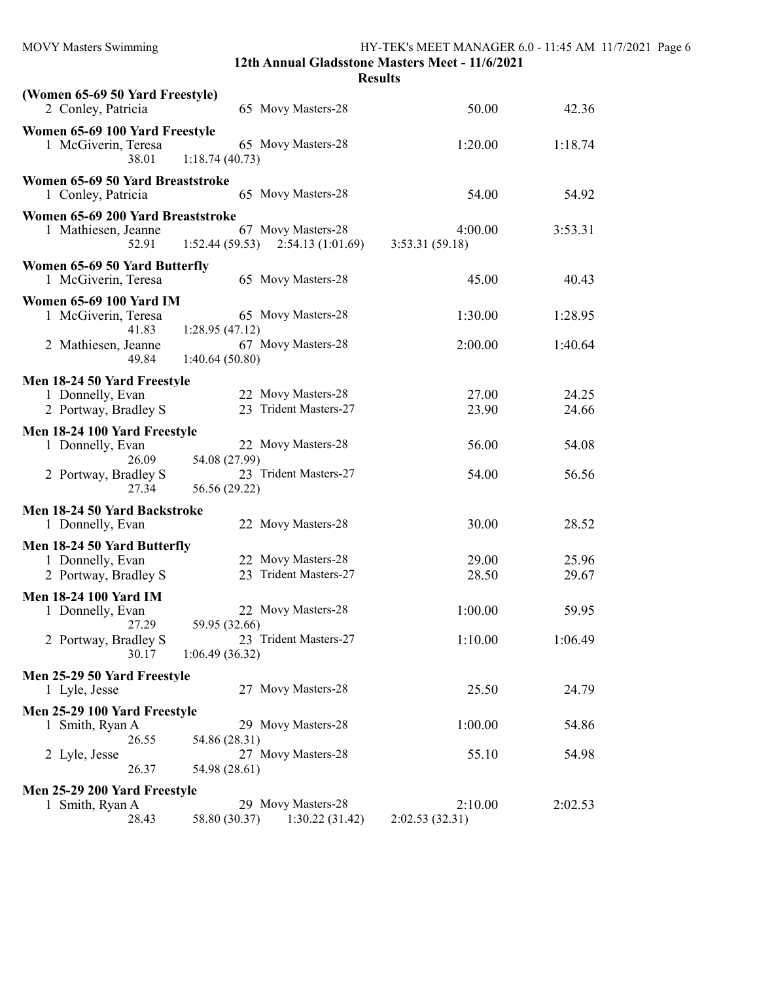| <b>MOVY Masters Swimming</b>                          | HY-TEK's MEET MANAGER 6.0 - 11:45 AM 11/7/2021 Page 6<br>12th Annual Gladsstone Masters Meet - 11/6/2021 |                |         |  |
|-------------------------------------------------------|----------------------------------------------------------------------------------------------------------|----------------|---------|--|
|                                                       |                                                                                                          | <b>Results</b> |         |  |
|                                                       |                                                                                                          |                |         |  |
| (Women 65-69 50 Yard Freestyle)<br>2 Conley, Patricia | 65 Movy Masters-28                                                                                       | 50.00          | 42.36   |  |
| Women 65-69 100 Yard Freestyle                        |                                                                                                          |                |         |  |
| 1 McGiverin, Teresa                                   | 65 Movy Masters-28                                                                                       | 1:20.00        | 1:18.74 |  |
| 38.01                                                 | 1:18.74(40.73)                                                                                           |                |         |  |
| Women 65-69 50 Yard Breaststroke                      |                                                                                                          |                |         |  |
| 1 Conley, Patricia                                    | 65 Movy Masters-28                                                                                       | 54.00          | 54.92   |  |
|                                                       |                                                                                                          |                |         |  |
| Women 65-69 200 Yard Breaststroke                     |                                                                                                          |                |         |  |
| 1 Mathiesen, Jeanne                                   | 67 Movy Masters-28                                                                                       | 4:00.00        | 3:53.31 |  |
| 52.91                                                 | $1:52.44(59.53)$ $2:54.13(1:01.69)$                                                                      | 3:53.31(59.18) |         |  |
| Women 65-69 50 Yard Butterfly                         |                                                                                                          |                |         |  |
| 1 McGiverin, Teresa                                   | 65 Movy Masters-28                                                                                       | 45.00          | 40.43   |  |
| <b>Women 65-69 100 Yard IM</b>                        |                                                                                                          |                |         |  |
| 1 McGiverin, Teresa                                   | 65 Movy Masters-28                                                                                       | 1:30.00        | 1:28.95 |  |
| 41.83                                                 | 1:28.95(47.12)                                                                                           |                |         |  |
| 2 Mathiesen, Jeanne                                   | 67 Movy Masters-28                                                                                       | 2:00.00        | 1:40.64 |  |
| 49.84                                                 | 1:40.64(50.80)                                                                                           |                |         |  |
|                                                       |                                                                                                          |                |         |  |
| Men 18-24 50 Yard Freestyle                           |                                                                                                          |                |         |  |
| 1 Donnelly, Evan                                      | 22 Movy Masters-28<br>23 Trident Masters-27                                                              | 27.00          | 24.25   |  |
| 2 Portway, Bradley S                                  |                                                                                                          | 23.90          | 24.66   |  |
| Men 18-24 100 Yard Freestyle                          |                                                                                                          |                |         |  |
| 1 Donnelly, Evan                                      | 22 Movy Masters-28                                                                                       | 56.00          | 54.08   |  |
| 26.09                                                 | 54.08 (27.99)                                                                                            |                |         |  |
| 2 Portway, Bradley S                                  | 23 Trident Masters-27                                                                                    | 54.00          | 56.56   |  |
| 27.34                                                 | 56.56 (29.22)                                                                                            |                |         |  |
| Men 18-24 50 Yard Backstroke                          |                                                                                                          |                |         |  |
| 1 Donnelly, Evan                                      | 22 Movy Masters-28                                                                                       | 30.00          | 28.52   |  |
|                                                       |                                                                                                          |                |         |  |
| Men 18-24 50 Yard Butterfly                           |                                                                                                          |                |         |  |
| 1 Donnelly, Evan                                      | 22 Movy Masters-28<br>23 Trident Masters-27                                                              | 29.00          | 25.96   |  |
| 2 Portway, Bradley S                                  |                                                                                                          | 28.50          | 29.67   |  |
| <b>Men 18-24 100 Yard IM</b>                          |                                                                                                          |                |         |  |
| 1 Donnelly, Evan                                      | 22 Movy Masters-28                                                                                       | 1:00.00        | 59.95   |  |
| 27.29                                                 | 59.95 (32.66)                                                                                            |                |         |  |
| 2 Portway, Bradley S                                  | 23 Trident Masters-27                                                                                    | 1:10.00        | 1:06.49 |  |
| 30.17                                                 | 1:06.49(36.32)                                                                                           |                |         |  |
| Men 25-29 50 Yard Freestyle                           |                                                                                                          |                |         |  |
| 1 Lyle, Jesse                                         | 27 Movy Masters-28                                                                                       | 25.50          | 24.79   |  |
|                                                       |                                                                                                          |                |         |  |
| Men 25-29 100 Yard Freestyle                          | 29 Movy Masters-28                                                                                       |                |         |  |
| 1 Smith, Ryan A<br>26.55                              |                                                                                                          | 1:00.00        | 54.86   |  |
|                                                       | 54.86 (28.31)<br>27 Movy Masters-28                                                                      | 55.10          |         |  |
| 2 Lyle, Jesse<br>26.37                                | 54.98 (28.61)                                                                                            |                | 54.98   |  |
|                                                       |                                                                                                          |                |         |  |
| Men 25-29 200 Yard Freestyle                          |                                                                                                          |                |         |  |
| 1 Smith, Ryan A                                       | 29 Movy Masters-28                                                                                       | 2:10.00        | 2:02.53 |  |
| 28.43                                                 | 1:30.22(31.42)<br>58.80 (30.37)                                                                          | 2:02.53(32.31) |         |  |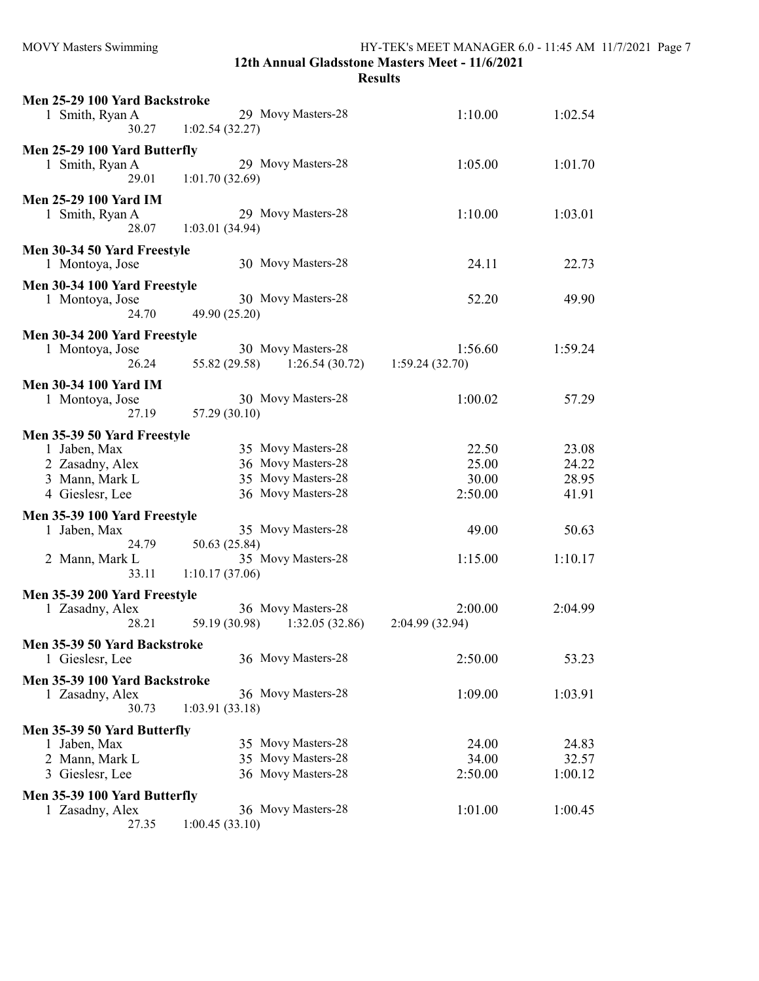| Men 25-29 100 Yard Backstroke                |                                 |                            |         |
|----------------------------------------------|---------------------------------|----------------------------|---------|
| 1 Smith, Ryan A                              | 29 Movy Masters-28              | 1:10.00                    | 1:02.54 |
| 30.27                                        | 1:02.54(32.27)                  |                            |         |
| Men 25-29 100 Yard Butterfly                 |                                 |                            |         |
| 1 Smith, Ryan A                              | 29 Movy Masters-28              | 1:05.00                    | 1:01.70 |
| 29.01                                        | 1:01.70(32.69)                  |                            |         |
| <b>Men 25-29 100 Yard IM</b>                 |                                 |                            |         |
| 1 Smith, Ryan A                              | 29 Movy Masters-28              | 1:10.00                    | 1:03.01 |
| 28.07                                        | 1:03.01(34.94)                  |                            |         |
| Men 30-34 50 Yard Freestyle                  |                                 |                            |         |
| 1 Montoya, Jose                              | 30 Movy Masters-28              | 24.11                      | 22.73   |
|                                              |                                 |                            |         |
| Men 30-34 100 Yard Freestyle                 |                                 |                            |         |
| 1 Montoya, Jose                              | 30 Movy Masters-28              | 52.20                      | 49.90   |
| 24.70                                        | 49.90 (25.20)                   |                            |         |
| Men 30-34 200 Yard Freestyle                 |                                 |                            |         |
| 1 Montoya, Jose                              | 30 Movy Masters-28              | 1:56.60                    | 1:59.24 |
| 26.24                                        | 55.82 (29.58)<br>1:26.54(30.72) | 1:59.24(32.70)             |         |
| <b>Men 30-34 100 Yard IM</b>                 |                                 |                            |         |
| 1 Montoya, Jose                              | 30 Movy Masters-28              | 1:00.02                    | 57.29   |
| 27.19                                        | 57.29 (30.10)                   |                            |         |
| Men 35-39 50 Yard Freestyle                  |                                 |                            |         |
| 1 Jaben, Max                                 | 35 Movy Masters-28              | 22.50                      | 23.08   |
| 2 Zasadny, Alex                              | 36 Movy Masters-28              | 25.00                      | 24.22   |
| 3 Mann, Mark L                               | 35 Movy Masters-28              | 30.00                      | 28.95   |
| 4 Gieslesr, Lee                              | 36 Movy Masters-28              | 2:50.00                    | 41.91   |
|                                              |                                 |                            |         |
| Men 35-39 100 Yard Freestyle<br>1 Jaben, Max | 35 Movy Masters-28              | 49.00                      | 50.63   |
| 24.79                                        | 50.63 (25.84)                   |                            |         |
| 2 Mann, Mark L                               | 35 Movy Masters-28              | 1:15.00                    | 1:10.17 |
| 33.11                                        | 1:10.17(37.06)                  |                            |         |
|                                              |                                 |                            |         |
| Men 35-39 200 Yard Freestyle                 | 36 Movy Masters-28              |                            |         |
| 1 Zasadny, Alex<br>28.21                     | 59.19 (30.98)<br>1:32.05(32.86) | 2:00.00<br>2:04.99 (32.94) | 2:04.99 |
|                                              |                                 |                            |         |
| Men 35-39 50 Yard Backstroke                 |                                 |                            |         |
| 1 Gieslesr, Lee                              | 36 Movy Masters-28              | 2:50.00                    | 53.23   |
| Men 35-39 100 Yard Backstroke                |                                 |                            |         |
| 1 Zasadny, Alex                              | 36 Movy Masters-28              | 1:09.00                    | 1:03.91 |
| 30.73                                        | 1:03.91(33.18)                  |                            |         |
| Men 35-39 50 Yard Butterfly                  |                                 |                            |         |
| 1 Jaben, Max                                 | 35 Movy Masters-28              | 24.00                      | 24.83   |
| 2 Mann, Mark L                               | 35 Movy Masters-28              | 34.00                      | 32.57   |
| 3 Gieslesr, Lee                              | 36 Movy Masters-28              | 2:50.00                    | 1:00.12 |
| Men 35-39 100 Yard Butterfly                 |                                 |                            |         |
| 1 Zasadny, Alex                              | 36 Movy Masters-28              | 1:01.00                    | 1:00.45 |
|                                              |                                 |                            |         |

27.35 1:00.45 (33.10)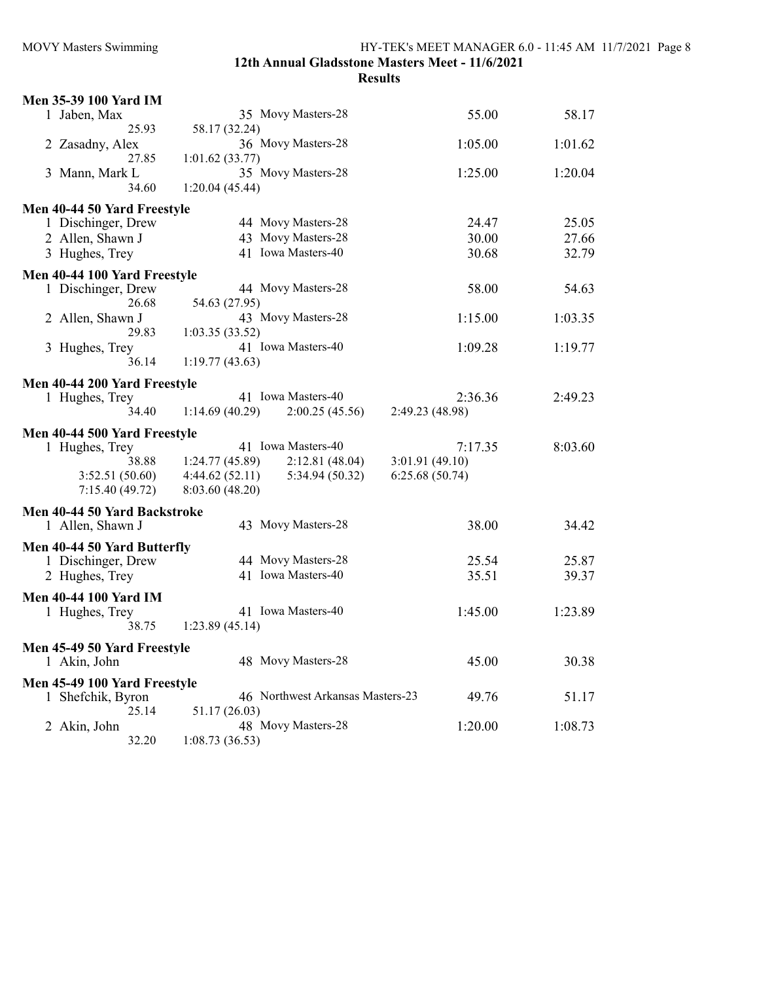### 12th Annual Gladsstone Masters Meet - 11/6/2021 Results

| Men 35-39 100 Yard IM        |                                      |                 |         |
|------------------------------|--------------------------------------|-----------------|---------|
| 1 Jaben, Max                 | 35 Movy Masters-28                   | 55.00           | 58.17   |
| 25.93                        | 58.17 (32.24)                        |                 |         |
| 2 Zasadny, Alex              | 36 Movy Masters-28                   | 1:05.00         | 1:01.62 |
| 27.85                        | 1:01.62(33.77)<br>35 Movy Masters-28 |                 |         |
| 3 Mann, Mark L<br>34.60      | 1:20.04(45.44)                       | 1:25.00         | 1:20.04 |
|                              |                                      |                 |         |
| Men 40-44 50 Yard Freestyle  |                                      |                 |         |
| 1 Dischinger, Drew           | 44 Movy Masters-28                   | 24.47           | 25.05   |
| 2 Allen, Shawn J             | 43 Movy Masters-28                   | 30.00           | 27.66   |
| 3 Hughes, Trey               | 41 Iowa Masters-40                   | 30.68           | 32.79   |
| Men 40-44 100 Yard Freestyle |                                      |                 |         |
| 1 Dischinger, Drew           | 44 Movy Masters-28                   | 58.00           | 54.63   |
| 26.68                        | 54.63 (27.95)                        |                 |         |
| 2 Allen, Shawn J             | 43 Movy Masters-28                   | 1:15.00         | 1:03.35 |
| 29.83                        | 1:03.35(33.52)                       |                 |         |
| 3 Hughes, Trey               | 41 Iowa Masters-40                   | 1:09.28         | 1:19.77 |
| 36.14                        | 1:19.77(43.63)                       |                 |         |
| Men 40-44 200 Yard Freestyle |                                      |                 |         |
| 1 Hughes, Trey               | 41 Iowa Masters-40                   | 2:36.36         | 2:49.23 |
| 34.40                        | 1:14.69(40.29)<br>2:00.25(45.56)     | 2:49.23 (48.98) |         |
| Men 40-44 500 Yard Freestyle |                                      |                 |         |
| 1 Hughes, Trey               | 41 Iowa Masters-40                   | 7:17.35         | 8:03.60 |
| 38.88                        | 1:24.77(45.89)<br>2:12.81(48.04)     | 3:01.91(49.10)  |         |
| 3:52.51 (50.60)              | 4:44.62(52.11)<br>5:34.94 (50.32)    | 6:25.68(50.74)  |         |
| 7:15.40(49.72)               | 8:03.60 (48.20)                      |                 |         |
| Men 40-44 50 Yard Backstroke |                                      |                 |         |
| 1 Allen, Shawn J             | 43 Movy Masters-28                   | 38.00           | 34.42   |
|                              |                                      |                 |         |
| Men 40-44 50 Yard Butterfly  |                                      |                 |         |
| 1 Dischinger, Drew           | 44 Movy Masters-28                   | 25.54           | 25.87   |
| 2 Hughes, Trey               | 41 Iowa Masters-40                   | 35.51           | 39.37   |
| <b>Men 40-44 100 Yard IM</b> |                                      |                 |         |
| 1 Hughes, Trey               | 41 Iowa Masters-40                   | 1:45.00         | 1:23.89 |
| 38.75                        | 1:23.89(45.14)                       |                 |         |
| Men 45-49 50 Yard Freestyle  |                                      |                 |         |
| 1 Akin, John                 | 48 Movy Masters-28                   | 45.00           | 30.38   |
| Men 45-49 100 Yard Freestyle |                                      |                 |         |
| 1 Shefchik, Byron            | 46 Northwest Arkansas Masters-23     | 49.76           | 51.17   |
| 25.14                        | 51.17 (26.03)                        |                 |         |
| 2 Akin, John                 | 48 Movy Masters-28                   | 1:20.00         | 1:08.73 |
| 32.20                        | 1:08.73(36.53)                       |                 |         |
|                              |                                      |                 |         |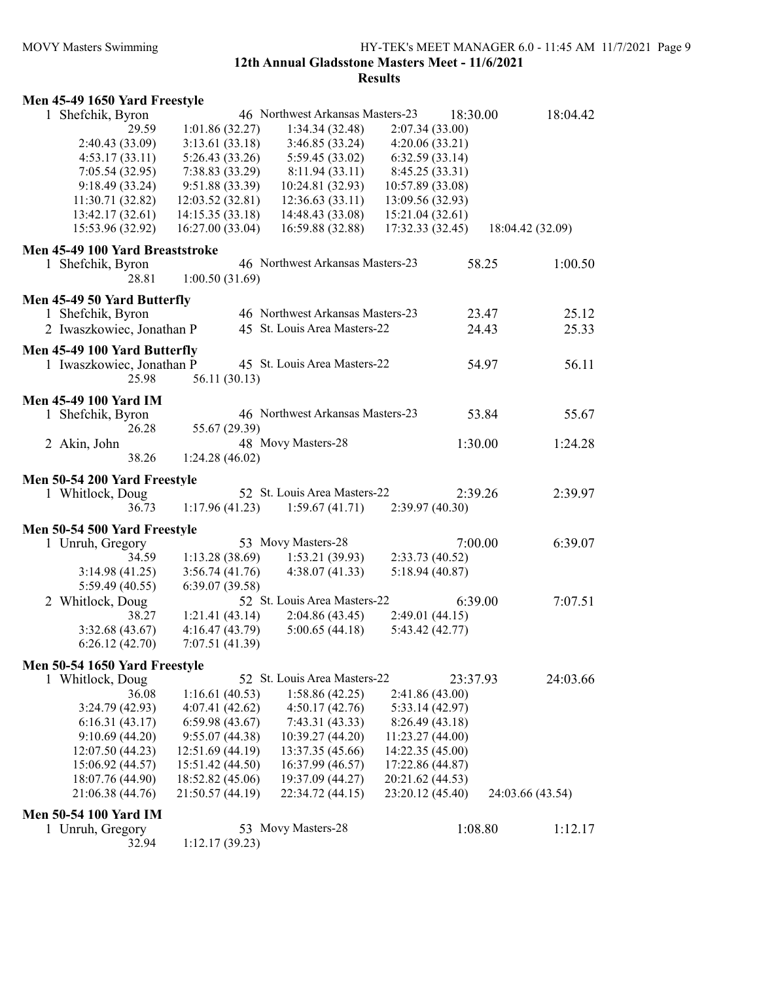#### MOVY Masters Swimming HY-TEK's MEET MANAGER 6.0 - 11:45 AM 11/7/2021 Page 9 12th Annual Gladsstone Masters Meet - 11/6/2021

| Men 45-49 1650 Yard Freestyle   |                  |                                  |                  |                      |  |
|---------------------------------|------------------|----------------------------------|------------------|----------------------|--|
| 1 Shefchik, Byron               |                  | 46 Northwest Arkansas Masters-23 |                  | 18:04.42<br>18:30.00 |  |
| 29.59                           | 1:01.86(32.27)   | 1:34.34(32.48)                   | 2:07.34(33.00)   |                      |  |
| 2:40.43 (33.09)                 | 3:13.61(33.18)   | 3:46.85 (33.24)                  | 4:20.06(33.21)   |                      |  |
| 4:53.17(33.11)                  | 5:26.43 (33.26)  | 5:59.45 (33.02)                  | 6:32.59(33.14)   |                      |  |
| 7:05.54(32.95)                  | 7:38.83 (33.29)  | 8:11.94(33.11)                   | 8:45.25 (33.31)  |                      |  |
| 9:18.49 (33.24)                 | 9:51.88 (33.39)  | 10:24.81 (32.93)                 | 10:57.89 (33.08) |                      |  |
| 11:30.71 (32.82)                | 12:03.52 (32.81) | 12:36.63 (33.11)                 | 13:09.56 (32.93) |                      |  |
| 13:42.17 (32.61)                | 14:15.35 (33.18) | 14:48.43 (33.08)                 | 15:21.04 (32.61) |                      |  |
| 15:53.96 (32.92)                | 16:27.00 (33.04) | 16:59.88 (32.88)                 | 17:32.33 (32.45) | 18:04.42 (32.09)     |  |
| Men 45-49 100 Yard Breaststroke |                  |                                  |                  |                      |  |
| 1 Shefchik, Byron               |                  | 46 Northwest Arkansas Masters-23 |                  | 58.25<br>1:00.50     |  |
| 28.81                           | 1:00.50(31.69)   |                                  |                  |                      |  |
| Men 45-49 50 Yard Butterfly     |                  |                                  |                  |                      |  |
| 1 Shefchik, Byron               |                  | 46 Northwest Arkansas Masters-23 |                  | 23.47<br>25.12       |  |
| 2 Iwaszkowiec, Jonathan P       |                  | 45 St. Louis Area Masters-22     |                  | 24.43<br>25.33       |  |
| Men 45-49 100 Yard Butterfly    |                  |                                  |                  |                      |  |
| 1 Iwaszkowiec, Jonathan P       |                  | 45 St. Louis Area Masters-22     |                  | 56.11<br>54.97       |  |
| 25.98                           | 56.11 (30.13)    |                                  |                  |                      |  |
|                                 |                  |                                  |                  |                      |  |
| <b>Men 45-49 100 Yard IM</b>    |                  | 46 Northwest Arkansas Masters-23 |                  | 53.84<br>55.67       |  |
| 1 Shefchik, Byron<br>26.28      | 55.67 (29.39)    |                                  |                  |                      |  |
| 2 Akin, John                    |                  | 48 Movy Masters-28               |                  | 1:30.00<br>1:24.28   |  |
| 38.26                           | 1:24.28(46.02)   |                                  |                  |                      |  |
|                                 |                  |                                  |                  |                      |  |
| Men 50-54 200 Yard Freestyle    |                  |                                  |                  |                      |  |
| 1 Whitlock, Doug                |                  | 52 St. Louis Area Masters-22     |                  | 2:39.26<br>2:39.97   |  |
| 36.73                           | 1:17.96(41.23)   | 1:59.67(41.71)                   | 2:39.97(40.30)   |                      |  |
| Men 50-54 500 Yard Freestyle    |                  |                                  |                  |                      |  |
| 1 Unruh, Gregory                |                  | 53 Movy Masters-28               |                  | 7:00.00<br>6:39.07   |  |
| 34.59                           | 1:13.28(38.69)   | 1:53.21(39.93)                   | 2:33.73 (40.52)  |                      |  |
| 3:14.98(41.25)                  | 3:56.74(41.76)   | 4:38.07(41.33)                   | 5:18.94(40.87)   |                      |  |
| 5:59.49 (40.55)                 | 6:39.07(39.58)   |                                  |                  |                      |  |
| 2 Whitlock, Doug                |                  | 52 St. Louis Area Masters-22     |                  | 6:39.00<br>7:07.51   |  |
| 38.27                           | 1:21.41(43.14)   | 2:04.86(43.45)                   | 2:49.01(44.15)   |                      |  |
| 3:32.68 (43.67)                 | 4:16.47(43.79)   | 5:00.65(44.18)                   | 5:43.42 (42.77)  |                      |  |
| 6:26.12(42.70)                  | 7:07.51(41.39)   |                                  |                  |                      |  |
| Men 50-54 1650 Yard Freestyle   |                  |                                  |                  |                      |  |
| 1 Whitlock, Doug                |                  | 52 St. Louis Area Masters-22     |                  | 24:03.66<br>23:37.93 |  |
| 36.08                           | 1:16.61(40.53)   | 1:58.86(42.25)                   | 2:41.86 (43.00)  |                      |  |
| 3:24.79(42.93)                  | 4:07.41(42.62)   | 4:50.17(42.76)                   | 5:33.14(42.97)   |                      |  |
| 6:16.31(43.17)                  | 6:59.98(43.67)   | 7:43.31(43.33)                   | 8:26.49(43.18)   |                      |  |
| 9:10.69(44.20)                  | 9:55.07(44.38)   | 10:39.27 (44.20)                 | 11:23.27(44.00)  |                      |  |
| 12:07.50 (44.23)                | 12:51.69 (44.19) | 13:37.35 (45.66)                 | 14:22.35 (45.00) |                      |  |
| 15:06.92 (44.57)                | 15:51.42 (44.50) | 16:37.99 (46.57)                 | 17:22.86 (44.87) |                      |  |
| 18:07.76 (44.90)                | 18:52.82 (45.06) | 19:37.09 (44.27)                 | 20:21.62 (44.53) |                      |  |
| 21:06.38 (44.76)                | 21:50.57 (44.19) | 22:34.72 (44.15)                 | 23:20.12 (45.40) | 24:03.66 (43.54)     |  |
| <b>Men 50-54 100 Yard IM</b>    |                  |                                  |                  |                      |  |
| 1 Unruh, Gregory                |                  | 53 Movy Masters-28               |                  | 1:08.80<br>1:12.17   |  |
| 32.94                           | 1:12.17(39.23)   |                                  |                  |                      |  |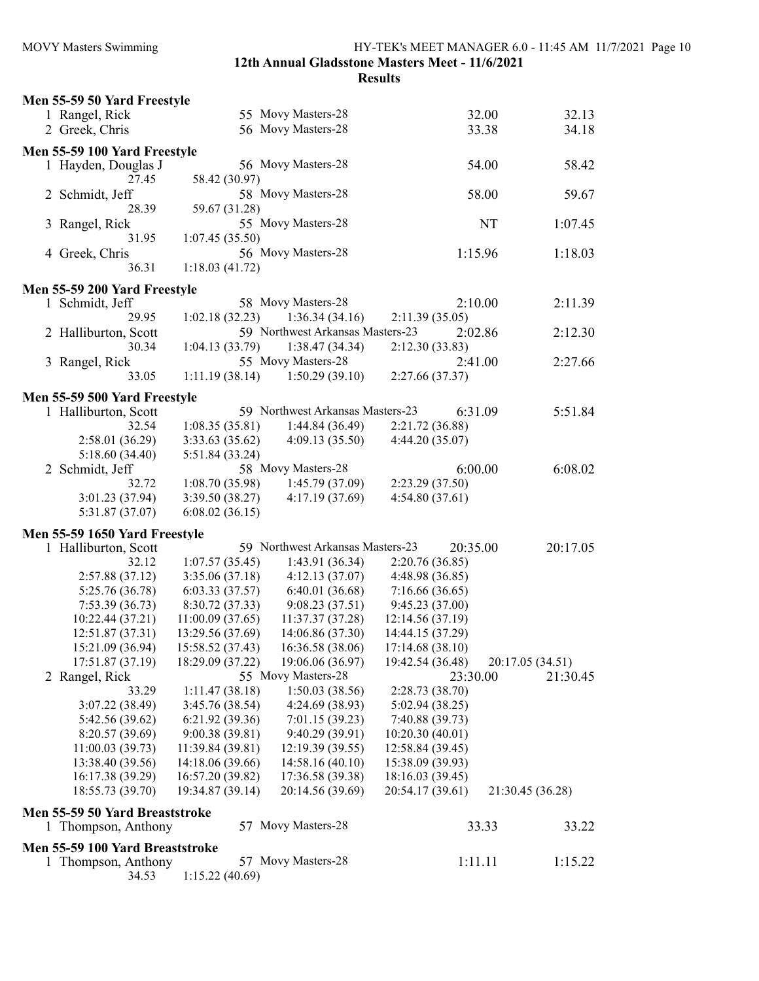|                                                       |                  |                                  | <b>Results</b>   |         |                  |  |
|-------------------------------------------------------|------------------|----------------------------------|------------------|---------|------------------|--|
| Men 55-59 50 Yard Freestyle                           |                  |                                  |                  |         |                  |  |
| 1 Rangel, Rick                                        |                  | 55 Movy Masters-28               |                  | 32.00   | 32.13            |  |
| 2 Greek, Chris                                        |                  | 56 Movy Masters-28               |                  | 33.38   | 34.18            |  |
|                                                       |                  |                                  |                  |         |                  |  |
| Men 55-59 100 Yard Freestyle                          |                  |                                  |                  |         |                  |  |
| 1 Hayden, Douglas J                                   |                  | 56 Movy Masters-28               |                  | 54.00   | 58.42            |  |
| 27.45                                                 | 58.42 (30.97)    |                                  |                  |         |                  |  |
| 2 Schmidt, Jeff                                       |                  | 58 Movy Masters-28               |                  | 58.00   | 59.67            |  |
| 28.39                                                 | 59.67 (31.28)    |                                  |                  |         |                  |  |
| 3 Rangel, Rick                                        |                  | 55 Movy Masters-28               |                  | NT      | 1:07.45          |  |
| 31.95                                                 | 1:07.45(35.50)   |                                  |                  |         |                  |  |
| 4 Greek, Chris                                        |                  | 56 Movy Masters-28               |                  | 1:15.96 | 1:18.03          |  |
| 36.31                                                 | 1:18.03(41.72)   |                                  |                  |         |                  |  |
| Men 55-59 200 Yard Freestyle                          |                  |                                  |                  |         |                  |  |
| 1 Schmidt, Jeff                                       |                  | 58 Movy Masters-28               |                  | 2:10.00 | 2:11.39          |  |
| 29.95                                                 | 1:02.18(32.23)   | 1:36.34(34.16)                   | 2:11.39(35.05)   |         |                  |  |
| 2 Halliburton, Scott                                  |                  | 59 Northwest Arkansas Masters-23 |                  | 2:02.86 | 2:12.30          |  |
| 30.34                                                 | 1:04.13(33.79)   | 1:38.47(34.34)                   | 2:12.30(33.83)   |         |                  |  |
| 3 Rangel, Rick                                        |                  | 55 Movy Masters-28               |                  | 2:41.00 | 2:27.66          |  |
| 33.05                                                 | 1:11.19(38.14)   | 1:50.29(39.10)                   | 2:27.66 (37.37)  |         |                  |  |
| Men 55-59 500 Yard Freestyle                          |                  |                                  |                  |         |                  |  |
| 1 Halliburton, Scott                                  |                  | 59 Northwest Arkansas Masters-23 |                  | 6:31.09 | 5:51.84          |  |
| 32.54                                                 | 1:08.35(35.81)   | 1:44.84(36.49)                   | 2:21.72 (36.88)  |         |                  |  |
| 2:58.01(36.29)                                        | 3:33.63(35.62)   | 4:09.13(35.50)                   | 4:44.20 (35.07)  |         |                  |  |
| 5:18.60(34.40)                                        | 5:51.84 (33.24)  |                                  |                  |         |                  |  |
| 2 Schmidt, Jeff                                       |                  | 58 Movy Masters-28               |                  | 6:00.00 | 6:08.02          |  |
| 32.72                                                 | 1:08.70(35.98)   | 1:45.79(37.09)                   | 2:23.29(37.50)   |         |                  |  |
| 3:01.23 (37.94)                                       | 3:39.50(38.27)   | 4:17.19(37.69)                   | 4:54.80(37.61)   |         |                  |  |
| 5:31.87 (37.07)                                       | 6:08.02(36.15)   |                                  |                  |         |                  |  |
|                                                       |                  |                                  |                  |         |                  |  |
| Men 55-59 1650 Yard Freestyle<br>1 Halliburton, Scott |                  | 59 Northwest Arkansas Masters-23 | 20:35.00         |         | 20:17.05         |  |
| 32.12                                                 | 1:07.57(35.45)   | 1:43.91(36.34)                   | 2:20.76(36.85)   |         |                  |  |
| 2:57.88(37.12)                                        | 3:35.06(37.18)   | 4:12.13(37.07)                   | 4:48.98 (36.85)  |         |                  |  |
| 5:25.76 (36.78)                                       | 6:03.33(37.57)   | 6:40.01(36.68)                   | 7:16.66 (36.65)  |         |                  |  |
| 7:53.39(36.73)                                        | 8:30.72 (37.33)  | 9:08.23(37.51)                   | 9:45.23(37.00)   |         |                  |  |
| 10:22.44 (37.21)                                      | 11:00.09(37.65)  | 11:37.37 (37.28)                 | 12:14.56 (37.19) |         |                  |  |
| 12:51.87 (37.31)                                      | 13:29.56 (37.69) | 14:06.86 (37.30)                 | 14:44.15 (37.29) |         |                  |  |
| 15:21.09 (36.94)                                      | 15:58.52 (37.43) | 16:36.58 (38.06)                 | 17:14.68(38.10)  |         |                  |  |
| 17:51.87 (37.19)                                      | 18:29.09 (37.22) | 19:06.06 (36.97)                 | 19:42.54 (36.48) |         | 20:17.05 (34.51) |  |
| 2 Rangel, Rick                                        |                  | 55 Movy Masters-28               | 23:30.00         |         | 21:30.45         |  |
| 33.29                                                 | 1:11.47(38.18)   | 1:50.03(38.56)                   | 2:28.73(38.70)   |         |                  |  |
| 3:07.22(38.49)                                        | 3:45.76 (38.54)  | 4:24.69 (38.93)                  | 5:02.94 (38.25)  |         |                  |  |
| 5:42.56 (39.62)                                       | 6:21.92(39.36)   | 7:01.15(39.23)                   | 7:40.88 (39.73)  |         |                  |  |
| 8:20.57(39.69)                                        | 9:00.38(39.81)   | 9:40.29 (39.91)                  | 10:20.30 (40.01) |         |                  |  |
| 11:00.03(39.73)                                       | 11:39.84 (39.81) | 12:19.39 (39.55)                 | 12:58.84 (39.45) |         |                  |  |
| 13:38.40 (39.56)                                      | 14:18.06 (39.66) | 14:58.16 (40.10)                 | 15:38.09 (39.93) |         |                  |  |
| 16:17.38 (39.29)                                      | 16:57.20 (39.82) | 17:36.58 (39.38)                 | 18:16.03 (39.45) |         |                  |  |
| 18:55.73 (39.70)                                      | 19:34.87 (39.14) | 20:14.56 (39.69)                 | 20:54.17 (39.61) |         | 21:30.45 (36.28) |  |
| Men 55-59 50 Yard Breaststroke                        |                  |                                  |                  |         |                  |  |
| 1 Thompson, Anthony                                   |                  | 57 Movy Masters-28               |                  | 33.33   | 33.22            |  |
|                                                       |                  |                                  |                  |         |                  |  |
| Men 55-59 100 Yard Breaststroke                       |                  |                                  |                  |         |                  |  |
| 1 Thompson, Anthony                                   |                  | 57 Movy Masters-28               |                  | 1:11.11 | 1:15.22          |  |
| 34.53                                                 | 1:15.22(40.69)   |                                  |                  |         |                  |  |
|                                                       |                  |                                  |                  |         |                  |  |

MOVY Masters Swimming HY-TEK's MEET MANAGER 6.0 - 11:45 AM 11/7/2021 Page 10

12th Annual Gladsstone Masters Meet - 11/6/2021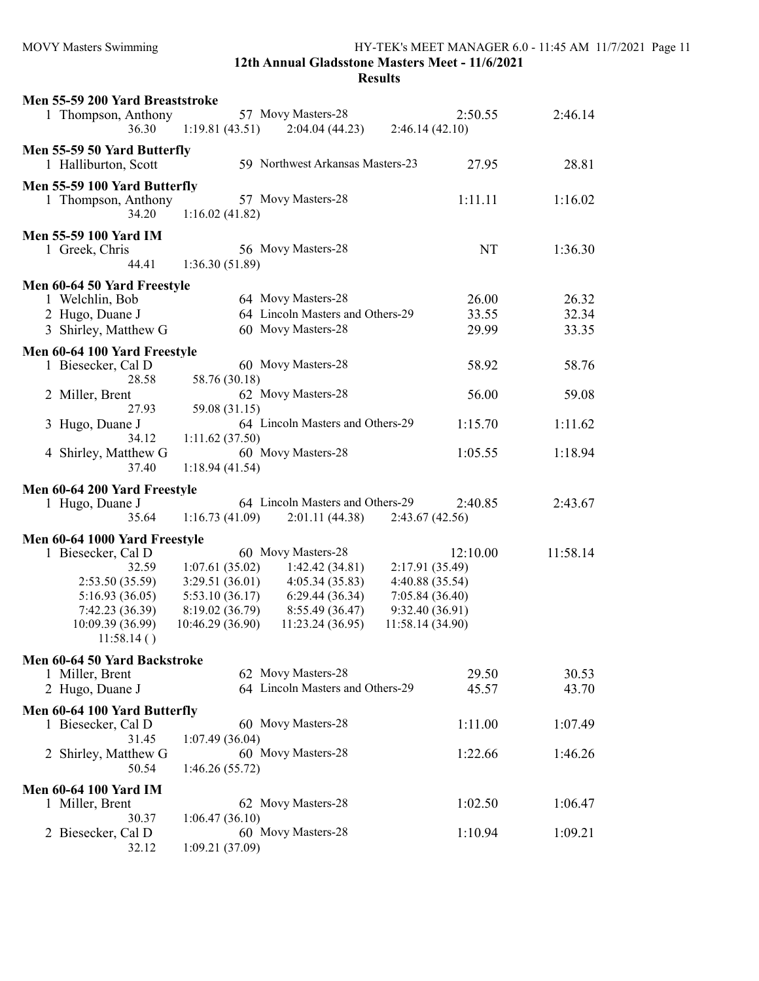| Men 55-59 200 Yard Breaststroke   |                                   |                                     |                                    |          |
|-----------------------------------|-----------------------------------|-------------------------------------|------------------------------------|----------|
| 1 Thompson, Anthony               |                                   | 57 Movy Masters-28                  | 2:50.55                            | 2:46.14  |
| 36.30                             | 1:19.81(43.51)                    | 2:04.04(44.23)                      | 2:46.14(42.10)                     |          |
| Men 55-59 50 Yard Butterfly       |                                   |                                     |                                    |          |
| 1 Halliburton, Scott              |                                   | 59 Northwest Arkansas Masters-23    | 27.95                              | 28.81    |
|                                   |                                   |                                     |                                    |          |
| Men 55-59 100 Yard Butterfly      |                                   |                                     |                                    |          |
| 1 Thompson, Anthony               |                                   | 57 Movy Masters-28                  | 1:11.11                            | 1:16.02  |
| 34.20                             | 1:16.02(41.82)                    |                                     |                                    |          |
| <b>Men 55-59 100 Yard IM</b>      |                                   |                                     |                                    |          |
| 1 Greek, Chris                    |                                   | 56 Movy Masters-28                  | NT                                 | 1:36.30  |
| 44.41                             | 1:36.30(51.89)                    |                                     |                                    |          |
|                                   |                                   |                                     |                                    |          |
| Men 60-64 50 Yard Freestyle       |                                   |                                     |                                    |          |
| 1 Welchlin, Bob                   |                                   | 64 Movy Masters-28                  | 26.00                              | 26.32    |
| 2 Hugo, Duane J                   |                                   | 64 Lincoln Masters and Others-29    | 33.55                              | 32.34    |
| 3 Shirley, Matthew G              |                                   | 60 Movy Masters-28                  | 29.99                              | 33.35    |
| Men 60-64 100 Yard Freestyle      |                                   |                                     |                                    |          |
| 1 Biesecker, Cal D                |                                   | 60 Movy Masters-28                  | 58.92                              | 58.76    |
| 28.58                             | 58.76 (30.18)                     |                                     |                                    |          |
| 2 Miller, Brent                   |                                   | 62 Movy Masters-28                  | 56.00                              | 59.08    |
| 27.93                             | 59.08 (31.15)                     |                                     |                                    |          |
| Hugo, Duane J<br>3                |                                   | 64 Lincoln Masters and Others-29    | 1:15.70                            | 1:11.62  |
| 34.12                             | 1:11.62(37.50)                    |                                     |                                    |          |
| Shirley, Matthew G<br>4           |                                   | 60 Movy Masters-28                  | 1:05.55                            | 1:18.94  |
| 37.40                             | 1:18.94(41.54)                    |                                     |                                    |          |
|                                   |                                   |                                     |                                    |          |
|                                   |                                   |                                     |                                    |          |
| Men 60-64 200 Yard Freestyle      |                                   |                                     |                                    |          |
| 1 Hugo, Duane J                   |                                   | 64 Lincoln Masters and Others-29    | 2:40.85                            | 2:43.67  |
| 35.64                             | 1:16.73(41.09)                    | 2:01.11(44.38)                      | 2:43.67(42.56)                     |          |
|                                   |                                   |                                     |                                    |          |
| Men 60-64 1000 Yard Freestyle     |                                   | 60 Movy Masters-28                  | 12:10.00                           | 11:58.14 |
| 1 Biesecker, Cal D<br>32.59       |                                   |                                     |                                    |          |
|                                   | 1:07.61(35.02)                    | 1:42.42(34.81)<br>4:05.34(35.83)    | 2:17.91 (35.49)<br>4:40.88 (35.54) |          |
| 2:53.50(35.59)                    | 3:29.51(36.01)                    | 6:29.44(36.34)                      |                                    |          |
| 5:16.93(36.05)<br>7:42.23 (36.39) | 5:53.10(36.17)<br>8:19.02 (36.79) |                                     | 7:05.84(36.40)<br>9:32.40(36.91)   |          |
|                                   |                                   | 8:55.49 (36.47)<br>11:23.24 (36.95) |                                    |          |
| 10:09.39 (36.99)<br>11:58.14()    | 10:46.29 (36.90)                  |                                     | 11:58.14 (34.90)                   |          |
|                                   |                                   |                                     |                                    |          |
| Men 60-64 50 Yard Backstroke      |                                   |                                     |                                    |          |
| 1 Miller, Brent                   |                                   | 62 Movy Masters-28                  | 29.50                              | 30.53    |
| 2 Hugo, Duane J                   |                                   | 64 Lincoln Masters and Others-29    | 45.57                              | 43.70    |
| Men 60-64 100 Yard Butterfly      |                                   |                                     |                                    |          |
| 1 Biesecker, Cal D                |                                   | 60 Movy Masters-28                  | 1:11.00                            | 1:07.49  |
| 31.45                             | 1:07.49(36.04)                    |                                     |                                    |          |
| 2 Shirley, Matthew G              |                                   | 60 Movy Masters-28                  | 1:22.66                            | 1:46.26  |
| 50.54                             | 1:46.26(55.72)                    |                                     |                                    |          |
|                                   |                                   |                                     |                                    |          |
| <b>Men 60-64 100 Yard IM</b>      |                                   |                                     |                                    |          |
| 1 Miller, Brent                   |                                   | 62 Movy Masters-28                  | 1:02.50                            | 1:06.47  |
| 30.37                             | 1:06.47(36.10)                    |                                     |                                    |          |
| 2 Biesecker, Cal D<br>32.12       | 1:09.21(37.09)                    | 60 Movy Masters-28                  | 1:10.94                            | 1:09.21  |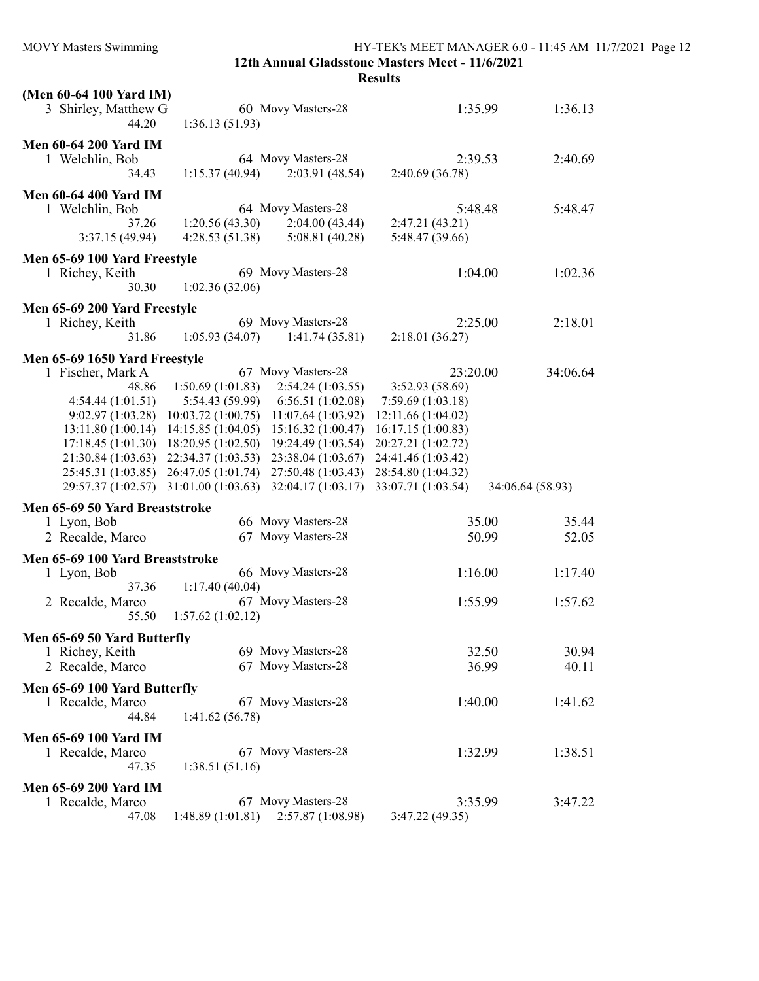MOVY Masters Swimming HY-TEK's MEET MANAGER 6.0 - 11:45 AM 11/7/2021 Page 12 12th Annual Gladsstone Masters Meet - 11/6/2021

| (Men 60-64 100 Yard IM)<br>3 Shirley, Matthew G<br>44.20                                                                                                                                    | 60 Movy Masters-28<br>1:36.13(51.93)                                                                                                                                                                                                                                                                                     | 1:35.99                                                                                                                                                       | 1:36.13                     |
|---------------------------------------------------------------------------------------------------------------------------------------------------------------------------------------------|--------------------------------------------------------------------------------------------------------------------------------------------------------------------------------------------------------------------------------------------------------------------------------------------------------------------------|---------------------------------------------------------------------------------------------------------------------------------------------------------------|-----------------------------|
| <b>Men 60-64 200 Yard IM</b><br>1 Welchlin, Bob<br>34.43                                                                                                                                    | 64 Movy Masters-28<br>2:03.91 (48.54)<br>1:15.37(40.94)                                                                                                                                                                                                                                                                  | 2:39.53<br>2:40.69 (36.78)                                                                                                                                    | 2:40.69                     |
| <b>Men 60-64 400 Yard IM</b><br>1 Welchlin, Bob<br>37.26<br>3:37.15 (49.94)                                                                                                                 | 64 Movy Masters-28<br>1:20.56(43.30)<br>2:04.00(43.44)<br>4:28.53(51.38)<br>5:08.81(40.28)                                                                                                                                                                                                                               | 5:48.48<br>2:47.21 (43.21)<br>5:48.47 (39.66)                                                                                                                 | 5:48.47                     |
| Men 65-69 100 Yard Freestyle<br>1 Richey, Keith<br>30.30                                                                                                                                    | 69 Movy Masters-28<br>1:02.36(32.06)                                                                                                                                                                                                                                                                                     | 1:04.00                                                                                                                                                       | 1:02.36                     |
| Men 65-69 200 Yard Freestyle<br>1 Richey, Keith<br>31.86                                                                                                                                    | 69 Movy Masters-28<br>1:05.93(34.07)<br>1:41.74(35.81)                                                                                                                                                                                                                                                                   | 2:25.00<br>2:18.01(36.27)                                                                                                                                     | 2:18.01                     |
| Men 65-69 1650 Yard Freestyle<br>1 Fischer, Mark A<br>48.86<br>4:54.44(1:01.51)<br>9:02.97(1:03.28)<br>13:11.80 (1:00.14)<br>17:18.45 (1:01.30)<br>21:30.84 (1:03.63)<br>25:45.31 (1:03.85) | 67 Movy Masters-28<br>1:50.69(1:01.83)<br>2:54.24(1:03.55)<br>5:54.43(59.99)<br>6:56.51 (1:02.08)<br>10:03.72(1:00.75)<br>11:07.64(1:03.92)<br>14:15.85(1:04.05)<br>15:16.32(1:00.47)<br>18:20.95(1:02.50)<br>19:24.49 (1:03.54)<br>22:34.37 (1:03.53)<br>23:38.04 (1:03.67)<br>26:47.05 (1:01.74)<br>27:50.48 (1:03.43) | 23:20.00<br>3:52.93 (58.69)<br>7:59.69 (1:03.18)<br>12:11.66 (1:04.02)<br>16:17.15(1:00.83)<br>20:27.21 (1:02.72)<br>24:41.46 (1:03.42)<br>28:54.80 (1:04.32) | 34:06.64                    |
| 29:57.37 (1:02.57)<br>Men 65-69 50 Yard Breaststroke<br>1 Lyon, Bob                                                                                                                         | 31:01.00 (1:03.63)<br>32:04.17 (1:03.17)<br>66 Movy Masters-28                                                                                                                                                                                                                                                           | 33:07.71 (1:03.54)<br>35.00                                                                                                                                   | 34:06.64 (58.93)<br>35.44   |
| 2 Recalde, Marco<br>Men 65-69 100 Yard Breaststroke<br>1 Lyon, Bob<br>37.36<br>2 Recalde, Marco<br>55.50                                                                                    | 67 Movy Masters-28<br>66 Movy Masters-28<br>1:17.40(40.04)<br>67 Movy Masters-28<br>1:57.62(1:02.12)                                                                                                                                                                                                                     | 50.99<br>1:16.00<br>1:55.99                                                                                                                                   | 52.05<br>1:17.40<br>1:57.62 |
| Men 65-69 50 Yard Butterfly<br>1 Richey, Keith<br>2 Recalde, Marco                                                                                                                          | 69 Movy Masters-28<br>67 Movy Masters-28                                                                                                                                                                                                                                                                                 | 32.50<br>36.99                                                                                                                                                | 30.94<br>40.11              |
| Men 65-69 100 Yard Butterfly<br>1 Recalde, Marco<br>44.84                                                                                                                                   | 67 Movy Masters-28<br>1:41.62(56.78)                                                                                                                                                                                                                                                                                     | 1:40.00                                                                                                                                                       | 1:41.62                     |
| <b>Men 65-69 100 Yard IM</b><br>1 Recalde, Marco<br>47.35                                                                                                                                   | 67 Movy Masters-28<br>1:38.51(51.16)                                                                                                                                                                                                                                                                                     | 1:32.99                                                                                                                                                       | 1:38.51                     |
| <b>Men 65-69 200 Yard IM</b><br>1 Recalde, Marco<br>47.08                                                                                                                                   | 67 Movy Masters-28<br>1:48.89(1:01.81)<br>2:57.87 (1:08.98)                                                                                                                                                                                                                                                              | 3:35.99<br>3:47.22 (49.35)                                                                                                                                    | 3:47.22                     |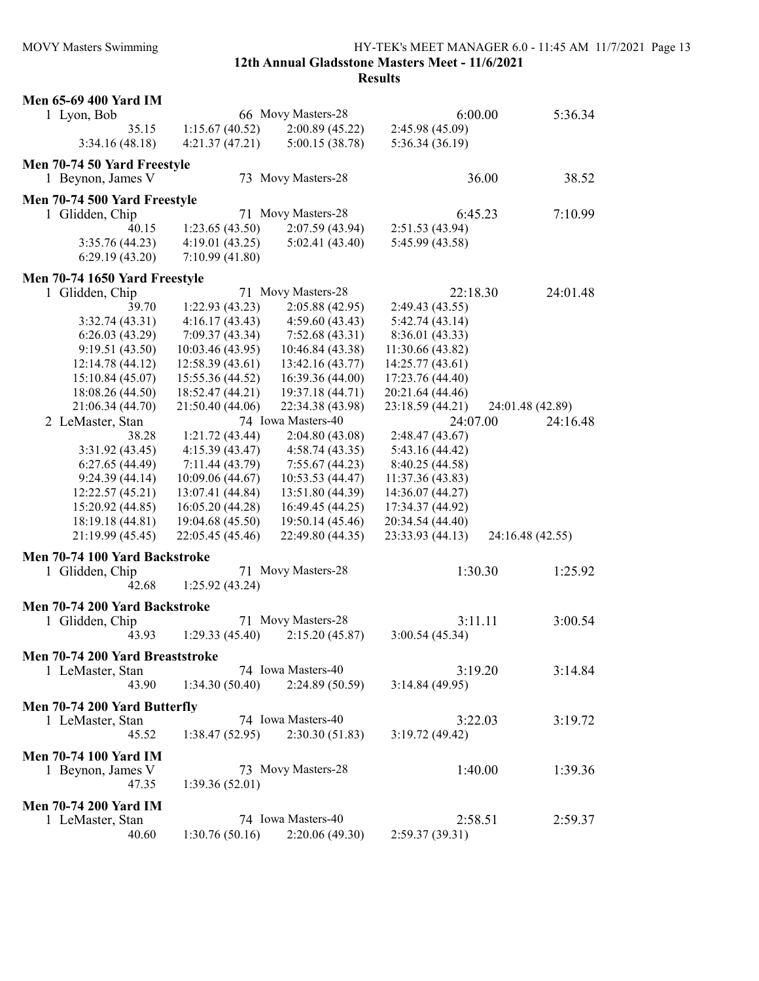MOVY Masters Swimming HY-TEK's MEET MANAGER 6.0 - 11:45 AM 11/7/2021 Page 13 12th Annual Gladsstone Masters Meet - 11/6/2021

|                              | <b>Men 65-69 400 Yard IM</b>    |                  |                    |                  |         |                  |
|------------------------------|---------------------------------|------------------|--------------------|------------------|---------|------------------|
| 1 Lyon, Bob                  |                                 |                  | 66 Movy Masters-28 |                  | 6:00.00 | 5:36.34          |
|                              | 35.15                           | 1:15.67(40.52)   | 2:00.89(45.22)     | 2:45.98 (45.09)  |         |                  |
|                              | 3:34.16(48.18)                  | 4:21.37(47.21)   | 5:00.15 (38.78)    | 5:36.34 (36.19)  |         |                  |
|                              | Men 70-74 50 Yard Freestyle     |                  |                    |                  |         |                  |
|                              | 1 Beynon, James V               |                  | 73 Movy Masters-28 |                  | 36.00   | 38.52            |
|                              | Men 70-74 500 Yard Freestyle    |                  |                    |                  |         |                  |
| 1 Glidden, Chip              |                                 |                  | 71 Movy Masters-28 |                  | 6:45.23 | 7:10.99          |
|                              | 40.15                           | 1:23.65(43.50)   | 2:07.59(43.94)     | 2:51.53 (43.94)  |         |                  |
|                              | 3:35.76(44.23)                  | 4:19.01(43.25)   | 5:02.41(43.40)     | 5:45.99 (43.58)  |         |                  |
|                              | 6:29.19(43.20)                  | 7:10.99(41.80)   |                    |                  |         |                  |
|                              |                                 |                  |                    |                  |         |                  |
|                              | Men 70-74 1650 Yard Freestyle   |                  |                    |                  |         |                  |
| 1 Glidden, Chip              |                                 |                  | 71 Movy Masters-28 | 22:18.30         |         | 24:01.48         |
|                              | 39.70                           | 1:22.93(43.23)   | 2:05.88(42.95)     | 2:49.43 (43.55)  |         |                  |
|                              | 3:32.74(43.31)                  | 4:16.17(43.43)   | 4:59.60(43.43)     | 5:42.74(43.14)   |         |                  |
|                              | 6:26.03(43.29)                  | 7:09.37(43.34)   | 7:52.68(43.31)     | 8:36.01 (43.33)  |         |                  |
|                              | 9:19.51(43.50)                  | 10:03.46(43.95)  | 10:46.84 (43.38)   | 11:30.66 (43.82) |         |                  |
|                              | 12:14.78 (44.12)                | 12:58.39(43.61)  | 13:42.16 (43.77)   | 14:25.77 (43.61) |         |                  |
|                              | 15:10.84 (45.07)                | 15:55.36 (44.52) | 16:39.36 (44.00)   | 17:23.76 (44.40) |         |                  |
|                              | 18:08.26 (44.50)                | 18:52.47 (44.21) | 19:37.18 (44.71)   | 20:21.64 (44.46) |         |                  |
|                              | 21:06.34 (44.70)                | 21:50.40 (44.06) | 22:34.38 (43.98)   | 23:18.59 (44.21) |         | 24:01.48 (42.89) |
|                              | 2 LeMaster, Stan                |                  | 74 Iowa Masters-40 | 24:07.00         |         | 24:16.48         |
|                              | 38.28                           | 1:21.72(43.44)   | 2:04.80(43.08)     | 2:48.47 (43.67)  |         |                  |
|                              | 3:31.92(43.45)                  | 4:15.39(43.47)   | 4:58.74(43.35)     | 5:43.16 (44.42)  |         |                  |
|                              | 6:27.65(44.49)                  | 7:11.44 (43.79)  | 7:55.67(44.23)     | 8:40.25 (44.58)  |         |                  |
|                              | 9:24.39(44.14)                  | 10:09.06 (44.67) | 10:53.53 (44.47)   | 11:37.36 (43.83) |         |                  |
|                              | 12:22.57(45.21)                 | 13:07.41 (44.84) | 13:51.80 (44.39)   | 14:36.07 (44.27) |         |                  |
|                              | 15:20.92 (44.85)                | 16:05.20 (44.28) | 16:49.45 (44.25)   | 17:34.37 (44.92) |         |                  |
|                              | 18:19.18 (44.81)                | 19:04.68 (45.50) | 19:50.14 (45.46)   | 20:34.54 (44.40) |         |                  |
|                              | 21:19.99 (45.45)                | 22:05.45 (45.46) | 22:49.80 (44.35)   | 23:33.93 (44.13) |         | 24:16.48 (42.55) |
|                              | Men 70-74 100 Yard Backstroke   |                  |                    |                  |         |                  |
| 1 Glidden, Chip              |                                 |                  | 71 Movy Masters-28 |                  | 1:30.30 | 1:25.92          |
|                              | 42.68                           | 1:25.92(43.24)   |                    |                  |         |                  |
|                              |                                 |                  |                    |                  |         |                  |
|                              | Men 70-74 200 Yard Backstroke   |                  |                    |                  |         |                  |
| 1 Glidden, Chip              |                                 |                  | 71 Movy Masters-28 |                  | 3:11.11 | 3:00.54          |
|                              | 43.93                           | 1:29.33(45.40)   | 2:15.20(45.87)     | 3:00.54(45.34)   |         |                  |
|                              | Men 70-74 200 Yard Breaststroke |                  |                    |                  |         |                  |
|                              | 1 LeMaster, Stan                |                  | 74 Iowa Masters-40 |                  | 3:19.20 | 3:14.84          |
|                              | 43.90                           | 1:34.30(50.40)   | 2:24.89(50.59)     | 3:14.84(49.95)   |         |                  |
|                              | Men 70-74 200 Yard Butterfly    |                  |                    |                  |         |                  |
|                              | 1 LeMaster, Stan                |                  | 74 Iowa Masters-40 |                  | 3:22.03 | 3:19.72          |
|                              | 45.52                           | 1:38.47(52.95)   | 2:30.30(51.83)     | 3:19.72(49.42)   |         |                  |
|                              |                                 |                  |                    |                  |         |                  |
|                              | <b>Men 70-74 100 Yard IM</b>    |                  |                    |                  |         |                  |
|                              | 1 Beynon, James V               |                  | 73 Movy Masters-28 |                  | 1:40.00 | 1:39.36          |
|                              | 47.35                           | 1:39.36(52.01)   |                    |                  |         |                  |
| <b>Men 70-74 200 Yard IM</b> |                                 |                  |                    |                  |         |                  |
|                              | 1 LeMaster, Stan                |                  | 74 Iowa Masters-40 | 2:58.51          |         | 2:59.37          |
|                              | 40.60                           | 1:30.76(50.16)   | 2:20.06(49.30)     | 2:59.37(39.31)   |         |                  |
|                              |                                 |                  |                    |                  |         |                  |